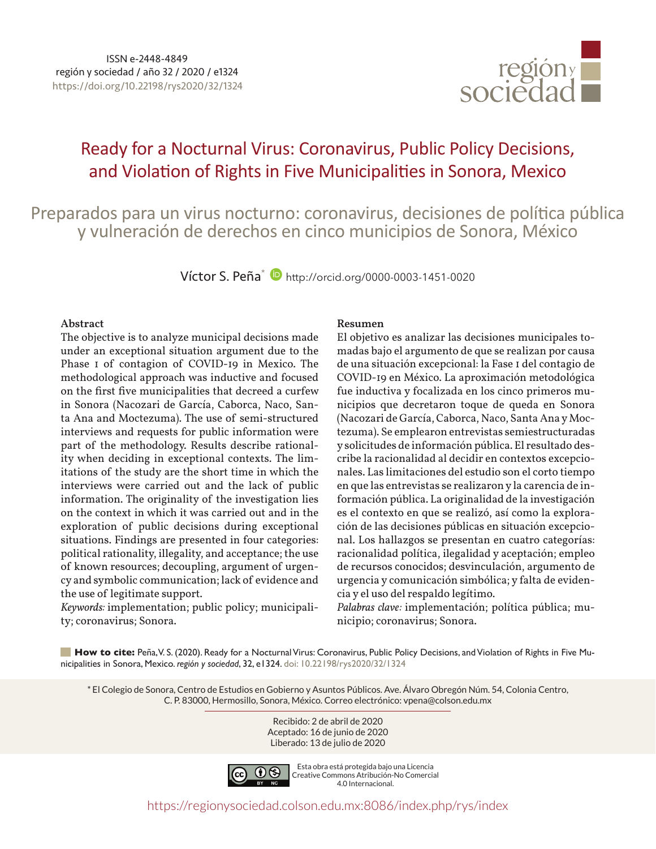

# Ready for a Nocturnal Virus: Coronavirus, Public Policy Decisions, and Violation of Rights in Five Municipalities in Sonora, Mexico

Preparados para un virus nocturno: coronavirus, decisiones de política pública y vulneración de derechos en cinco municipios de Sonora, México

Víctor S. Peña\* <http://orcid.org/0000-0003-1451-0020>

#### **Abstract**

The objective is to analyze municipal decisions made under an exceptional situation argument due to the Phase 1 of contagion of COVID-19 in Mexico. The methodological approach was inductive and focused on the first five municipalities that decreed a curfew in Sonora (Nacozari de García, Caborca, Naco, Santa Ana and Moctezuma). The use of semi-structured interviews and requests for public information were part of the methodology. Results describe rationality when deciding in exceptional contexts. The limitations of the study are the short time in which the interviews were carried out and the lack of public information. The originality of the investigation lies on the context in which it was carried out and in the exploration of public decisions during exceptional situations. Findings are presented in four categories: political rationality, illegality, and acceptance; the use of known resources; decoupling, argument of urgency and symbolic communication; lack of evidence and the use of legitimate support.

*Keywords:* implementation; public policy; municipality; coronavirus; Sonora.

#### **Resumen**

El objetivo es analizar las decisiones municipales tomadas bajo el argumento de que se realizan por causa de una situación excepcional: la Fase 1 del contagio de COVID-19 en México. La aproximación metodológica fue inductiva y focalizada en los cinco primeros municipios que decretaron toque de queda en Sonora (Nacozari de García, Caborca, Naco, Santa Ana y Moctezuma). Se emplearon entrevistas semiestructuradas y solicitudes de información pública. El resultado describe la racionalidad al decidir en contextos excepcionales. Las limitaciones del estudio son el corto tiempo en que las entrevistas se realizaron y la carencia de información pública. La originalidad de la investigación es el contexto en que se realizó, así como la exploración de las decisiones públicas en situación excepcional. Los hallazgos se presentan en cuatro categorías: racionalidad política, ilegalidad y aceptación; empleo de recursos conocidos; desvinculación, argumento de urgencia y comunicación simbólica; y falta de evidencia y el uso del respaldo legítimo.

*Palabras clave:* implementación; política pública; municipio; coronavirus; Sonora.

**How to cite:** Peña, V. S. (2020). Ready for a Nocturnal Virus: Coronavirus, Public Policy Decisions, and Violation of Rights in Five Municipalities in Sonora, Mexico. *región y sociedad*, 32, e1324. [doi: 10.22198/rys2020/32/1324](https://doi.org/10.22198/rys2020/32/1324)

\* El Colegio de Sonora, Centro de Estudios en Gobierno y Asuntos Públicos. Ave. Álvaro Obregón Núm. 54, Colonia Centro, C. P. 83000, Hermosillo, Sonora, México. Correo electrónico: [vpena@colson.edu.mx](mailto:vpena@colson.edu.mx)

> Recibido: 2 de abril de 2020 Aceptado: 16 de junio de 2020 Liberado: 13 de julio de 2020



Esta obra está protegida bajo una Licencia Creative Commons Atribución-No Comercial 4.0 Internacional.

<https://regionysociedad.colson.edu.mx:8086/index.php/rys/index>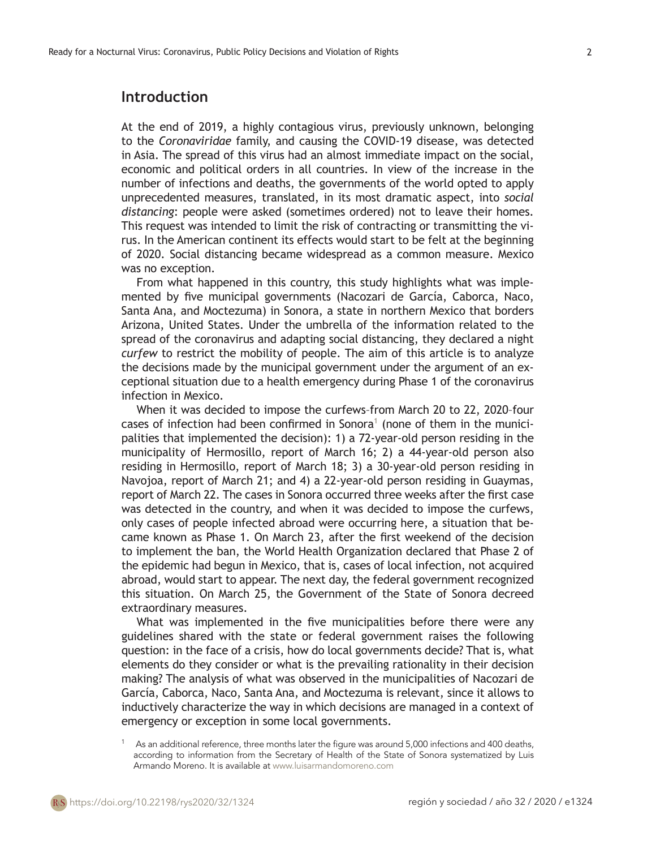# **Introduction**

At the end of 2019, a highly contagious virus, previously unknown, belonging to the *Coronaviridae* family, and causing the COVID-19 disease, was detected in Asia. The spread of this virus had an almost immediate impact on the social, economic and political orders in all countries. In view of the increase in the number of infections and deaths, the governments of the world opted to apply unprecedented measures, translated, in its most dramatic aspect, into *social distancing*: people were asked (sometimes ordered) not to leave their homes. This request was intended to limit the risk of contracting or transmitting the virus. In the American continent its effects would start to be felt at the beginning of 2020. Social distancing became widespread as a common measure. Mexico was no exception.

From what happened in this country, this study highlights what was implemented by five municipal governments (Nacozari de García, Caborca, Naco, Santa Ana, and Moctezuma) in Sonora, a state in northern Mexico that borders Arizona, United States. Under the umbrella of the information related to the spread of the coronavirus and adapting social distancing, they declared a night *curfew* to restrict the mobility of people. The aim of this article is to analyze the decisions made by the municipal government under the argument of an exceptional situation due to a health emergency during Phase 1 of the coronavirus infection in Mexico.

When it was decided to impose the curfews–from March 20 to 22, 2020–four cases of infection had been confirmed in Sonora<sup>1</sup> (none of them in the municipalities that implemented the decision): 1) a 72-year-old person residing in the municipality of Hermosillo, report of March 16; 2) a 44-year-old person also residing in Hermosillo, report of March 18; 3) a 30-year-old person residing in Navojoa, report of March 21; and 4) a 22-year-old person residing in Guaymas, report of March 22. The cases in Sonora occurred three weeks after the first case was detected in the country, and when it was decided to impose the curfews, only cases of people infected abroad were occurring here, a situation that became known as Phase 1. On March 23, after the first weekend of the decision to implement the ban, the World Health Organization declared that Phase 2 of the epidemic had begun in Mexico, that is, cases of local infection, not acquired abroad, would start to appear. The next day, the federal government recognized this situation. On March 25, the Government of the State of Sonora decreed extraordinary measures.

What was implemented in the five municipalities before there were any guidelines shared with the state or federal government raises the following question: in the face of a crisis, how do local governments decide? That is, what elements do they consider or what is the prevailing rationality in their decision making? The analysis of what was observed in the municipalities of Nacozari de García, Caborca, Naco, Santa Ana, and Moctezuma is relevant, since it allows to inductively characterize the way in which decisions are managed in a context of emergency or exception in some local governments.

As an additional reference, three months later the figure was around 5,000 infections and 400 deaths, according to information from the Secretary of Health of the State of Sonora systematized by Luis Armando Moreno. It is available at [www.luisarmandomoreno.com](http://www.luisarmandomoreno.com)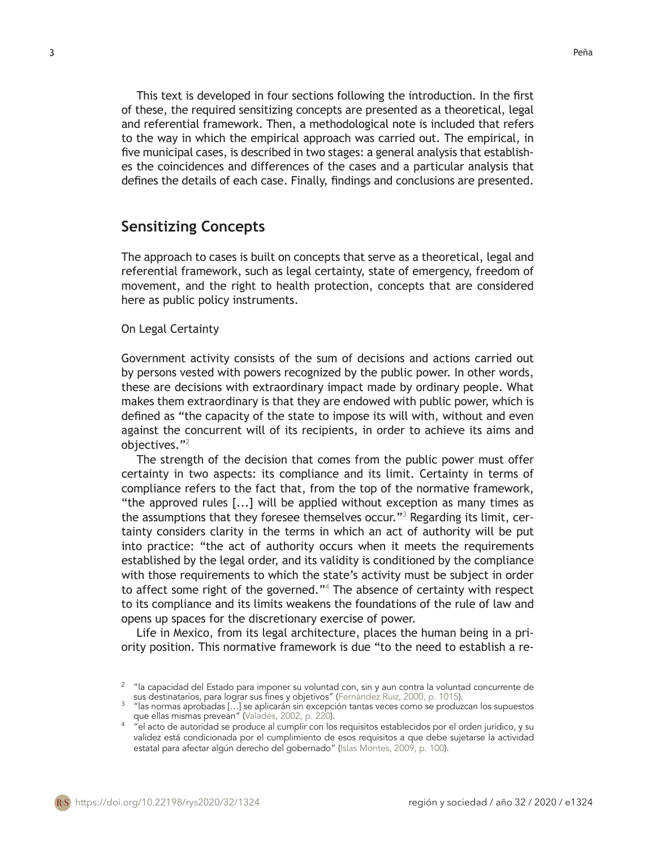This text is developed in four sections following the introduction. In the first of these, the required sensitizing concepts are presented as a theoretical, legal and referential framework. Then, a methodological note is included that refers to the way in which the empirical approach was carried out. The empirical, in five municipal cases, is described in two stages: a general analysis that establishes the coincidences and differences of the cases and a particular analysis that defines the details of each case. Finally, findings and conclusions are presented.

## **Sensitizing Concepts**

The approach to cases is built on concepts that serve as a theoretical, legal and referential framework, such as legal certainty, state of emergency, freedom of movement, and the right to health protection, concepts that are considered here as public policy instruments.

### On Legal Certainty

Government activity consists of the sum of decisions and actions carried out by persons vested with powers recognized by the public power. In other words, these are decisions with extraordinary impact made by ordinary people. What makes them extraordinary is that they are endowed with public power, which is defined as "the capacity of the state to impose its will with, without and even against the concurrent will of its recipients, in order to achieve its aims and objectives."<sup>2</sup>

The strength of the decision that comes from the public power must offer certainty in two aspects: its compliance and its limit. Certainty in terms of compliance refers to the fact that, from the top of the normative framework, "the approved rules [...] will be applied without exception as many times as the assumptions that they foresee themselves occur."<sup>3</sup> Regarding its limit, certainty considers clarity in the terms in which an act of authority will be put into practice: "the act of authority occurs when it meets the requirements established by the legal order, and its validity is conditioned by the compliance with those requirements to which the state's activity must be subject in order to affect some right of the governed."<sup>4</sup> The absence of certainty with respect to its compliance and its limits weakens the foundations of the rule of law and opens up spaces for the discretionary exercise of power.

Life in Mexico, from its legal architecture, places the human being in a priority position. This normative framework is due "to the need to establish a re-

 $^2$  "la capacidad del Estado para imponer su voluntad con, sin y aun contra la voluntad concurrente de sus destinatarios, para lograr sus fines <sup>y</sup> objetivos" (Fernández Ruiz, 2000, p. <sup>1015</sup>). <sup>3</sup> "las normas aprobadas […] se aplicarán sin excepción tantas veces como se produzcan los supuestos

que ellas mismas prevean" (Valadés, 2002, p. 220).<br>4 "el acto de autoridad se produce al cumplir con los requisitos establecidos por el orden jurídico, y su

validez está condicionada por el cumplimiento de esos requisitos a que debe sujetarse la actividad estatal para afectar algún derecho del gobernado" (Islas Montes, 2009, p. 100).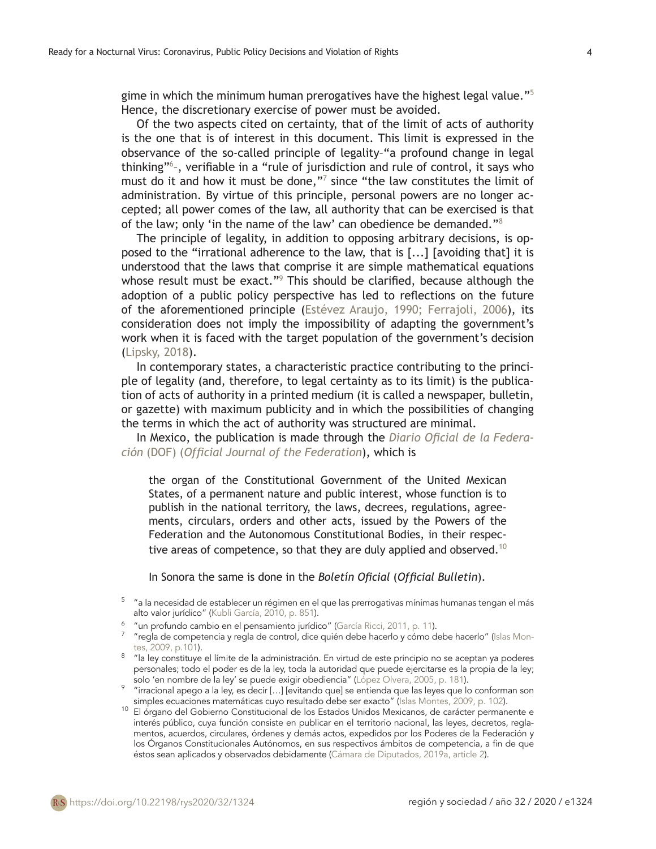gime in which the minimum human prerogatives have the highest legal value."<sup>5</sup> Hence, the discretionary exercise of power must be avoided.

Of the two aspects cited on certainty, that of the limit of acts of authority is the one that is of interest in this document. This limit is expressed in the observance of the so-called principle of legality–"a profound change in legal thinking"<sup>6</sup> –, verifiable in a "rule of jurisdiction and rule of control, it says who must do it and how it must be done,"<sup>7</sup> since "the law constitutes the limit of administration. By virtue of this principle, personal powers are no longer accepted; all power comes of the law, all authority that can be exercised is that of the law; only 'in the name of the law' can obedience be demanded."<sup>8</sup>

The principle of legality, in addition to opposing arbitrary decisions, is opposed to the "irrational adherence to the law, that is [...] [avoiding that] it is understood that the laws that comprise it are simple mathematical equations whose result must be exact."<sup>9</sup> This should be clarified, because although the adoption of a public policy perspective has led to reflections on the future of the aforementioned principle (Estévez Araujo, 1990; Ferrajoli, 2006), its consideration does not imply the impossibility of adapting the government's work when it is faced with the target population of the government's decision (Lipsky, 2018).

In contemporary states, a characteristic practice contributing to the principle of legality (and, therefore, to legal certainty as to its limit) is the publication of acts of authority in a printed medium (it is called a newspaper, bulletin, or gazette) with maximum publicity and in which the possibilities of changing the terms in which the act of authority was structured are minimal.

In Mexico, the publication is made through the *Diario Oficial de la Federación* (DOF) (*Official Journal of the Federation*), which is

the organ of the Constitutional Government of the United Mexican States, of a permanent nature and public interest, whose function is to publish in the national territory, the laws, decrees, regulations, agreements, circulars, orders and other acts, issued by the Powers of the Federation and the Autonomous Constitutional Bodies, in their respective areas of competence, so that they are duly applied and observed.<sup>10</sup>

In Sonora the same is done in the *Boletín Oficial* (*Official Bulletin*).

- <sup>6</sup> "un profundo cambio en el pensamiento jurídico" (García Ricci, 2011, p. 11).
- $^7$  "regla de competencia y regla de control, dice quién debe hacerlo y cómo debe hacerlo" (Islas Montes, 2009, p.101).
- 8 "la ley constituye el límite de la administración. En virtud de este principio no se aceptan ya poderes personales; todo el poder es de la ley, toda la autoridad que puede ejercitarse es la propia de la ley; solo 'en nombre de la ley' se puede exigir obediencia" (López Olvera, 2005, p. 181).
- 9 "irracional apego a la ley, es decir […] [evitando que] se entienda que las leyes que lo conforman son simples ecuaciones matemáticas cuyo resultado debe ser exacto" (Islas Montes, 2009, p. 102).
- <sup>10</sup> El órgano del Gobierno Constitucional de los Estados Unidos Mexicanos, de carácter permanente e interés público, cuya función consiste en publicar en el territorio nacional, las leyes, decretos, reglamentos, acuerdos, circulares, órdenes y demás actos, expedidos por los Poderes de la Federación y los Órganos Constitucionales Autónomos, en sus respectivos ámbitos de competencia, a fin de que éstos sean aplicados y observados debidamente (Cámara de Diputados, 2019a, article 2).

 $^{\rm 5-}$  "a la necesidad de establecer un régimen en el que las prerrogativas mínimas humanas tengan el más alto valor jurídico" (Kubli García, 2010, p. 851).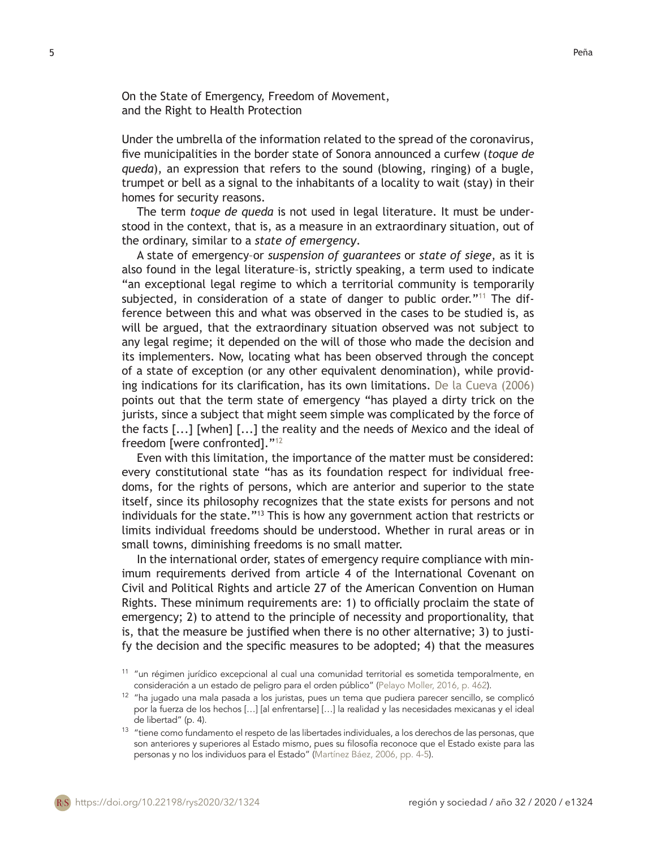On the State of Emergency, Freedom of Movement, and the Right to Health Protection

Under the umbrella of the information related to the spread of the coronavirus, five municipalities in the border state of Sonora announced a curfew (*toque de queda*), an expression that refers to the sound (blowing, ringing) of a bugle, trumpet or bell as a signal to the inhabitants of a locality to wait (stay) in their homes for security reasons.

The term *toque de queda* is not used in legal literature. It must be understood in the context, that is, as a measure in an extraordinary situation, out of the ordinary, similar to a *state of emergency*.

A state of emergency–or *suspension of guarantees* or *state of siege*, as it is also found in the legal literature–is, strictly speaking, a term used to indicate "an exceptional legal regime to which a territorial community is temporarily subjected, in consideration of a state of danger to public order."<sup>11</sup> The difference between this and what was observed in the cases to be studied is, as will be argued, that the extraordinary situation observed was not subject to any legal regime; it depended on the will of those who made the decision and its implementers. Now, locating what has been observed through the concept of a state of exception (or any other equivalent denomination), while providing indications for its clarification, has its own limitations. De la Cueva (2006) points out that the term state of emergency "has played a dirty trick on the jurists, since a subject that might seem simple was complicated by the force of the facts [...] [when] [...] the reality and the needs of Mexico and the ideal of freedom [were confronted]."<sup>12</sup>

Even with this limitation, the importance of the matter must be considered: every constitutional state "has as its foundation respect for individual freedoms, for the rights of persons, which are anterior and superior to the state itself, since its philosophy recognizes that the state exists for persons and not individuals for the state."13 This is how any government action that restricts or limits individual freedoms should be understood. Whether in rural areas or in small towns, diminishing freedoms is no small matter.

In the international order, states of emergency require compliance with minimum requirements derived from article 4 of the International Covenant on Civil and Political Rights and article 27 of the American Convention on Human Rights. These minimum requirements are: 1) to officially proclaim the state of emergency; 2) to attend to the principle of necessity and proportionality, that is, that the measure be justified when there is no other alternative; 3) to justify the decision and the specific measures to be adopted; 4) that the measures

 $11$  "un régimen jurídico excepcional al cual una comunidad territorial es sometida temporalmente, en consideración a un estado de peligro para el orden público" (Pelayo Moller, 2016, p. 462).

 $12$  "ha jugado una mala pasada a los juristas, pues un tema que pudiera parecer sencillo, se complicó por la fuerza de los hechos […] [al enfrentarse] […] la realidad y las necesidades mexicanas y el ideal de libertad" (p. 4).

<sup>13 &</sup>quot;tiene como fundamento el respeto de las libertades individuales, a los derechos de las personas, que son anteriores y superiores al Estado mismo, pues su filosofía reconoce que el Estado existe para las personas y no los individuos para el Estado" (Martínez Báez, 2006, pp. 4-5).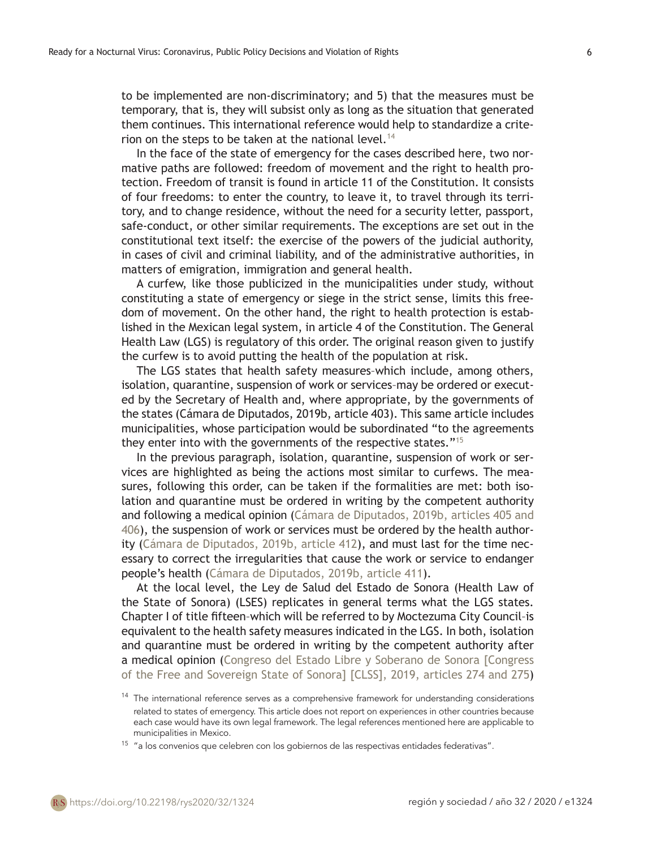to be implemented are non-discriminatory; and 5) that the measures must be temporary, that is, they will subsist only as long as the situation that generated them continues. This international reference would help to standardize a criterion on the steps to be taken at the national level.<sup>14</sup>

In the face of the state of emergency for the cases described here, two normative paths are followed: freedom of movement and the right to health protection. Freedom of transit is found in article 11 of the Constitution. It consists of four freedoms: to enter the country, to leave it, to travel through its territory, and to change residence, without the need for a security letter, passport, safe-conduct, or other similar requirements. The exceptions are set out in the constitutional text itself: the exercise of the powers of the judicial authority, in cases of civil and criminal liability, and of the administrative authorities, in matters of emigration, immigration and general health.

A curfew, like those publicized in the municipalities under study, without constituting a state of emergency or siege in the strict sense, limits this freedom of movement. On the other hand, the right to health protection is established in the Mexican legal system, in article 4 of the Constitution. The General Health Law (LGS) is regulatory of this order. The original reason given to justify the curfew is to avoid putting the health of the population at risk.

The LGS states that health safety measures–which include, among others, isolation, quarantine, suspension of work or services–may be ordered or executed by the Secretary of Health and, where appropriate, by the governments of the states (Cámara de Diputados, 2019b, article 403). This same article includes municipalities, whose participation would be subordinated "to the agreements they enter into with the governments of the respective states."<sup>15</sup>

In the previous paragraph, isolation, quarantine, suspension of work or services are highlighted as being the actions most similar to curfews. The measures, following this order, can be taken if the formalities are met: both isolation and quarantine must be ordered in writing by the competent authority and following a medical opinion (Cámara de Diputados, 2019b, articles 405 and 406), the suspension of work or services must be ordered by the health authority (Cámara de Diputados, 2019b, article 412), and must last for the time necessary to correct the irregularities that cause the work or service to endanger people's health (Cámara de Diputados, 2019b, article 411).

At the local level, the Ley de Salud del Estado de Sonora (Health Law of the State of Sonora) (LSES) replicates in general terms what the LGS states. Chapter I of title fifteen–which will be referred to by Moctezuma City Council–is equivalent to the health safety measures indicated in the LGS. In both, isolation and quarantine must be ordered in writing by the competent authority after a medical opinion (Congreso del Estado Libre y Soberano de Sonora [Congress of the Free and Sovereign State of Sonora] [CLSS], 2019, articles 274 and 275)

 $14$  The international reference serves as a comprehensive framework for understanding considerations related to states of emergency. This article does not report on experiences in other countries because each case would have its own legal framework. The legal references mentioned here are applicable to municipalities in Mexico.

 $15$  "a los convenios que celebren con los gobiernos de las respectivas entidades federativas".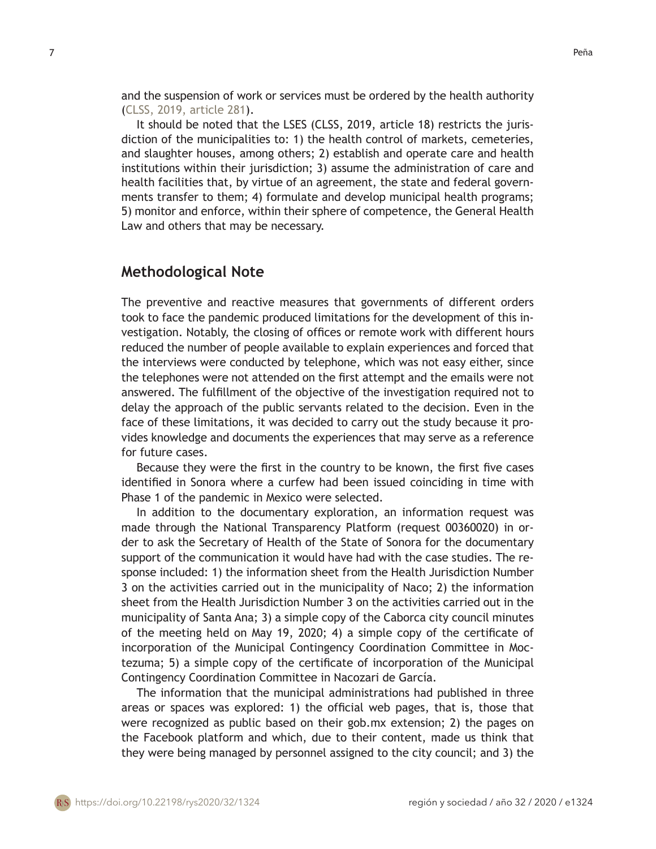and the suspension of work or services must be ordered by the health authority (CLSS, 2019, article 281).

It should be noted that the LSES (CLSS, 2019, article 18) restricts the jurisdiction of the municipalities to: 1) the health control of markets, cemeteries, and slaughter houses, among others; 2) establish and operate care and health institutions within their jurisdiction; 3) assume the administration of care and health facilities that, by virtue of an agreement, the state and federal governments transfer to them; 4) formulate and develop municipal health programs; 5) monitor and enforce, within their sphere of competence, the General Health Law and others that may be necessary.

### **Methodological Note**

The preventive and reactive measures that governments of different orders took to face the pandemic produced limitations for the development of this investigation. Notably, the closing of offices or remote work with different hours reduced the number of people available to explain experiences and forced that the interviews were conducted by telephone, which was not easy either, since the telephones were not attended on the first attempt and the emails were not answered. The fulfillment of the objective of the investigation required not to delay the approach of the public servants related to the decision. Even in the face of these limitations, it was decided to carry out the study because it provides knowledge and documents the experiences that may serve as a reference for future cases.

Because they were the first in the country to be known, the first five cases identified in Sonora where a curfew had been issued coinciding in time with Phase 1 of the pandemic in Mexico were selected.

In addition to the documentary exploration, an information request was made through the National Transparency Platform (request 00360020) in order to ask the Secretary of Health of the State of Sonora for the documentary support of the communication it would have had with the case studies. The response included: 1) the information sheet from the Health Jurisdiction Number 3 on the activities carried out in the municipality of Naco; 2) the information sheet from the Health Jurisdiction Number 3 on the activities carried out in the municipality of Santa Ana; 3) a simple copy of the Caborca city council minutes of the meeting held on May 19, 2020; 4) a simple copy of the certificate of incorporation of the Municipal Contingency Coordination Committee in Moctezuma; 5) a simple copy of the certificate of incorporation of the Municipal Contingency Coordination Committee in Nacozari de García.

The information that the municipal administrations had published in three areas or spaces was explored: 1) the official web pages, that is, those that were recognized as public based on their gob.mx extension; 2) the pages on the Facebook platform and which, due to their content, made us think that they were being managed by personnel assigned to the city council; and 3) the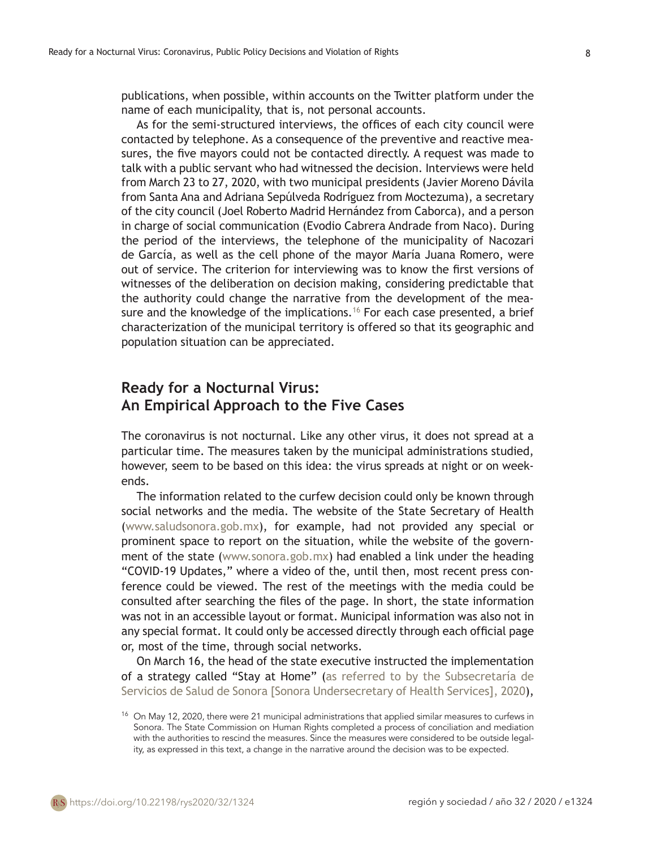publications, when possible, within accounts on the Twitter platform under the name of each municipality, that is, not personal accounts.

As for the semi-structured interviews, the offices of each city council were contacted by telephone. As a consequence of the preventive and reactive measures, the five mayors could not be contacted directly. A request was made to talk with a public servant who had witnessed the decision. Interviews were held from March 23 to 27, 2020, with two municipal presidents (Javier Moreno Dávila from Santa Ana and Adriana Sepúlveda Rodríguez from Moctezuma), a secretary of the city council (Joel Roberto Madrid Hernández from Caborca), and a person in charge of social communication (Evodio Cabrera Andrade from Naco). During the period of the interviews, the telephone of the municipality of Nacozari de García, as well as the cell phone of the mayor María Juana Romero, were out of service. The criterion for interviewing was to know the first versions of witnesses of the deliberation on decision making, considering predictable that the authority could change the narrative from the development of the measure and the knowledge of the implications.<sup>16</sup> For each case presented, a brief characterization of the municipal territory is offered so that its geographic and population situation can be appreciated.

# **Ready for a Nocturnal Virus: An Empirical Approach to the Five Cases**

The coronavirus is not nocturnal. Like any other virus, it does not spread at a particular time. The measures taken by the municipal administrations studied, however, seem to be based on this idea: the virus spreads at night or on weekends.

The information related to the curfew decision could only be known through social networks and the media. The website of the State Secretary of Health (www.saludsonora.gob.mx), for example, had not provided any special or prominent space to report on the situation, while the website of the government of the state (www.sonora.gob.mx) had enabled a link under the heading "COVID-19 Updates," where a video of the, until then, most recent press conference could be viewed. The rest of the meetings with the media could be consulted after searching the files of the page. In short, the state information was not in an accessible layout or format. Municipal information was also not in any special format. It could only be accessed directly through each official page or, most of the time, through social networks.

On March 16, the head of the state executive instructed the implementation of a strategy called "Stay at Home" (as referred to by the Subsecretaría de Servicios de Salud de Sonora [Sonora Undersecretary of Health Services], 2020),

<sup>&</sup>lt;sup>16</sup> On May 12, 2020, there were 21 municipal administrations that applied similar measures to curfews in Sonora. The State Commission on Human Rights completed a process of conciliation and mediation with the authorities to rescind the measures. Since the measures were considered to be outside legality, as expressed in this text, a change in the narrative around the decision was to be expected.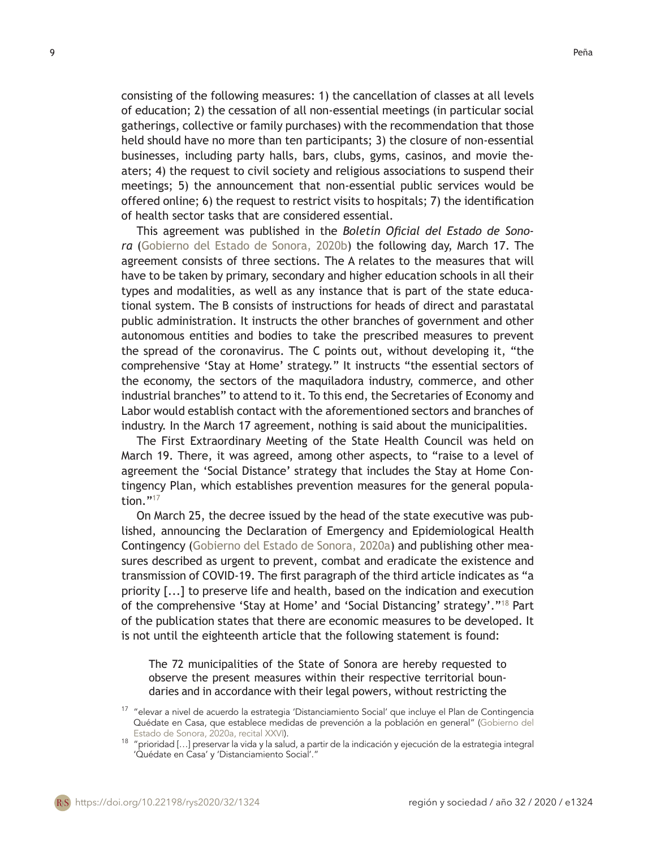consisting of the following measures: 1) the cancellation of classes at all levels of education; 2) the cessation of all non-essential meetings (in particular social gatherings, collective or family purchases) with the recommendation that those held should have no more than ten participants; 3) the closure of non-essential businesses, including party halls, bars, clubs, gyms, casinos, and movie theaters; 4) the request to civil society and religious associations to suspend their meetings; 5) the announcement that non-essential public services would be offered online; 6) the request to restrict visits to hospitals; 7) the identification of health sector tasks that are considered essential.

This agreement was published in the *Boletín Oficial del Estado de Sonora* (Gobierno del Estado de Sonora, 2020b) the following day, March 17. The agreement consists of three sections. The A relates to the measures that will have to be taken by primary, secondary and higher education schools in all their types and modalities, as well as any instance that is part of the state educational system. The B consists of instructions for heads of direct and parastatal public administration. It instructs the other branches of government and other autonomous entities and bodies to take the prescribed measures to prevent the spread of the coronavirus. The C points out, without developing it, "the comprehensive 'Stay at Home' strategy." It instructs "the essential sectors of the economy, the sectors of the maquiladora industry, commerce, and other industrial branches" to attend to it. To this end, the Secretaries of Economy and Labor would establish contact with the aforementioned sectors and branches of industry. In the March 17 agreement, nothing is said about the municipalities.

The First Extraordinary Meeting of the State Health Council was held on March 19. There, it was agreed, among other aspects, to "raise to a level of agreement the 'Social Distance' strategy that includes the Stay at Home Contingency Plan, which establishes prevention measures for the general population."<sup>17</sup>

On March 25, the decree issued by the head of the state executive was published, announcing the Declaration of Emergency and Epidemiological Health Contingency (Gobierno del Estado de Sonora, 2020a) and publishing other measures described as urgent to prevent, combat and eradicate the existence and transmission of COVID-19. The first paragraph of the third article indicates as "a priority [...] to preserve life and health, based on the indication and execution of the comprehensive 'Stay at Home' and 'Social Distancing' strategy'."18 Part of the publication states that there are economic measures to be developed. It is not until the eighteenth article that the following statement is found:

The 72 municipalities of the State of Sonora are hereby requested to observe the present measures within their respective territorial boundaries and in accordance with their legal powers, without restricting the

<sup>&</sup>lt;sup>17</sup> "elevar a nivel de acuerdo la estrategia 'Distanciamiento Social' que incluye el Plan de Contingencia Quédate en Casa, que establece medidas de prevención a la población en general" (Gobierno del Estado de Sonora, 2020a, recital XXVI).

<sup>&</sup>lt;sup>18</sup> "prioridad [...] preservar la vida y la salud, a partir de la indicación y ejecución de la estrategia integral 'Quédate en Casa' y 'Distanciamiento Social'."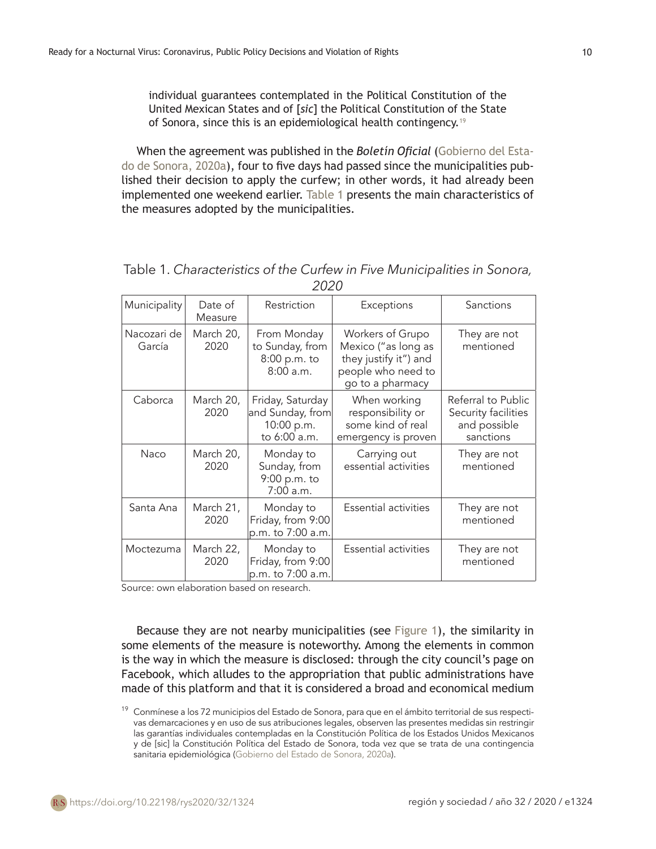individual guarantees contemplated in the Political Constitution of the United Mexican States and of [*sic*] the Political Constitution of the State of Sonora, since this is an epidemiological health contingency.<sup>19</sup>

When the agreement was published in the *Boletín Oficial* (Gobierno del Estado de Sonora, 2020a), four to five days had passed since the municipalities published their decision to apply the curfew; in other words, it had already been implemented one weekend earlier. Table 1 presents the main characteristics of the measures adopted by the municipalities.

| Municipality          | Date of<br>Measure | Restriction                                                        | Exceptions                                                                                                 | Sanctions                                                              |
|-----------------------|--------------------|--------------------------------------------------------------------|------------------------------------------------------------------------------------------------------------|------------------------------------------------------------------------|
| Nacozari de<br>García | March 20,<br>2020  | From Monday<br>to Sunday, from<br>8:00 p.m. to<br>8:00 a.m.        | Workers of Grupo<br>Mexico ("as long as<br>they justify it") and<br>people who need to<br>go to a pharmacy | They are not<br>mentioned                                              |
| Caborca               | March 20,<br>2020  | Friday, Saturday<br>and Sunday, from<br>10:00 p.m.<br>to 6:00 a.m. | When working<br>responsibility or<br>some kind of real<br>emergency is proven                              | Referral to Public<br>Security facilities<br>and possible<br>sanctions |
| Naco                  | March 20,<br>2020  | Monday to<br>Sunday, from<br>9:00 p.m. to<br>7:00 a.m.             | Carrying out<br>essential activities                                                                       | They are not<br>mentioned                                              |
| Santa Ana             | March 21,<br>2020  | Monday to<br>Friday, from 9:00<br>p.m. to 7:00 a.m.                | <b>Essential activities</b>                                                                                | They are not<br>mentioned                                              |
| Moctezuma             | March 22,<br>2020  | Monday to<br>Friday, from 9:00<br>p.m. to 7:00 a.m.                | Essential activities                                                                                       | They are not<br>mentioned                                              |

| Table 1. Characteristics of the Curfew in Five Municipalities in Sonora, |
|--------------------------------------------------------------------------|
| 2020                                                                     |

Source: own elaboration based on research.

Because they are not nearby municipalities (see Figure 1), the similarity in some elements of the measure is noteworthy. Among the elements in common is the way in which the measure is disclosed: through the city council's page on Facebook, which alludes to the appropriation that public administrations have made of this platform and that it is considered a broad and economical medium

<sup>&</sup>lt;sup>19</sup> Conmínese a los 72 municipios del Estado de Sonora, para que en el ámbito territorial de sus respectivas demarcaciones y en uso de sus atribuciones legales, observen las presentes medidas sin restringir las garantías individuales contempladas en la Constitución Política de los Estados Unidos Mexicanos y de [sic] la Constitución Política del Estado de Sonora, toda vez que se trata de una contingencia sanitaria epidemiológica (Gobierno del Estado de Sonora, 2020a).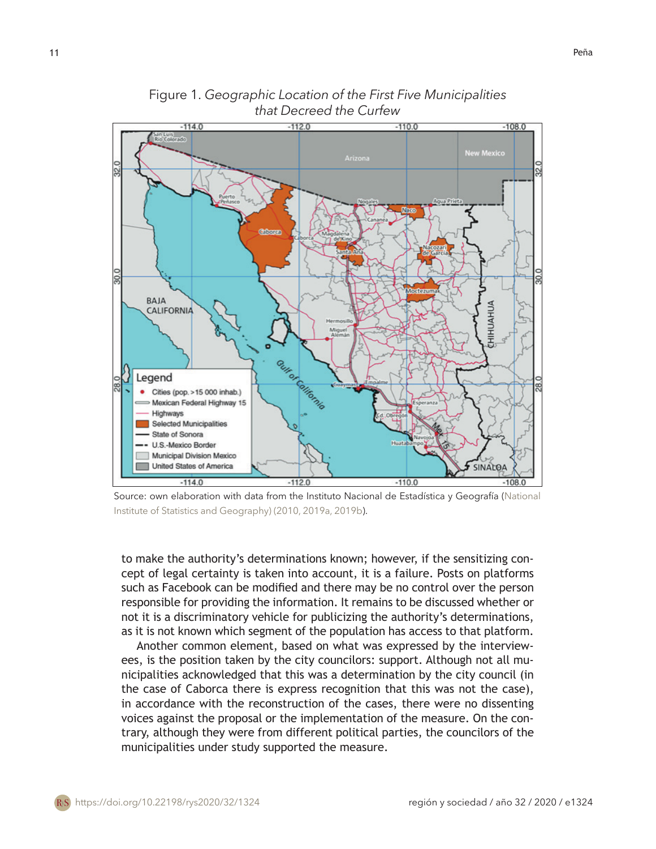$-112.0$  $110.0$  $1140$  $-108.0$ san Luis<br>Rio Colorad **New Mexico** BAJA HUAHUA **CALIFORNIA** Guires Glienie Legend Cities (pop. > 15 000 inhab.) Mexican Federal Highway 15 Highways **Selected Municipalities** State of Sonora U.S.-Mexico Border Municipal Division Mexico United States of America **SINALOA**  $-1140$  $-110.0$  $-112.0$ 

Figure 1. *Geographic Location of the First Five Municipalities that Decreed the Curfew*

Source: own elaboration with data from the Instituto Nacional de Estadística y Geografía (National Institute of Statistics and Geography) (2010, 2019a, 2019b).

to make the authority's determinations known; however, if the sensitizing concept of legal certainty is taken into account, it is a failure. Posts on platforms such as Facebook can be modified and there may be no control over the person responsible for providing the information. It remains to be discussed whether or not it is a discriminatory vehicle for publicizing the authority's determinations, as it is not known which segment of the population has access to that platform.

Another common element, based on what was expressed by the interviewees, is the position taken by the city councilors: support. Although not all municipalities acknowledged that this was a determination by the city council (in the case of Caborca there is express recognition that this was not the case), in accordance with the reconstruction of the cases, there were no dissenting voices against the proposal or the implementation of the measure. On the contrary, although they were from different political parties, the councilors of the municipalities under study supported the measure.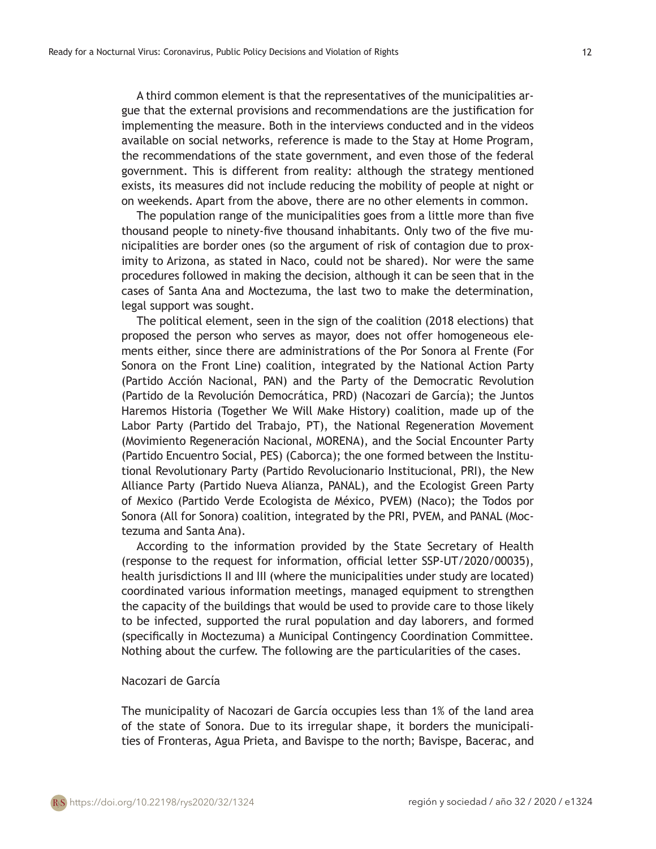gue that the external provisions and recommendations are the justification for implementing the measure. Both in the interviews conducted and in the videos available on social networks, reference is made to the Stay at Home Program, the recommendations of the state government, and even those of the federal government. This is different from reality: although the strategy mentioned exists, its measures did not include reducing the mobility of people at night or on weekends. Apart from the above, there are no other elements in common.

The population range of the municipalities goes from a little more than five thousand people to ninety-five thousand inhabitants. Only two of the five municipalities are border ones (so the argument of risk of contagion due to proximity to Arizona, as stated in Naco, could not be shared). Nor were the same procedures followed in making the decision, although it can be seen that in the cases of Santa Ana and Moctezuma, the last two to make the determination, legal support was sought.

The political element, seen in the sign of the coalition (2018 elections) that proposed the person who serves as mayor, does not offer homogeneous elements either, since there are administrations of the Por Sonora al Frente (For Sonora on the Front Line) coalition, integrated by the National Action Party (Partido Acción Nacional, PAN) and the Party of the Democratic Revolution (Partido de la Revolución Democrática, PRD) (Nacozari de García); the Juntos Haremos Historia (Together We Will Make History) coalition, made up of the Labor Party (Partido del Trabajo, PT), the National Regeneration Movement (Movimiento Regeneración Nacional, MORENA), and the Social Encounter Party (Partido Encuentro Social, PES) (Caborca); the one formed between the Institutional Revolutionary Party (Partido Revolucionario Institucional, PRI), the New Alliance Party (Partido Nueva Alianza, PANAL), and the Ecologist Green Party of Mexico (Partido Verde Ecologista de México, PVEM) (Naco); the Todos por Sonora (All for Sonora) coalition, integrated by the PRI, PVEM, and PANAL (Moctezuma and Santa Ana).

According to the information provided by the State Secretary of Health (response to the request for information, official letter SSP-UT/2020/00035), health jurisdictions II and III (where the municipalities under study are located) coordinated various information meetings, managed equipment to strengthen the capacity of the buildings that would be used to provide care to those likely to be infected, supported the rural population and day laborers, and formed (specifically in Moctezuma) a Municipal Contingency Coordination Committee. Nothing about the curfew. The following are the particularities of the cases.

### Nacozari de García

The municipality of Nacozari de García occupies less than 1% of the land area of the state of Sonora. Due to its irregular shape, it borders the municipalities of Fronteras, Agua Prieta, and Bavispe to the north; Bavispe, Bacerac, and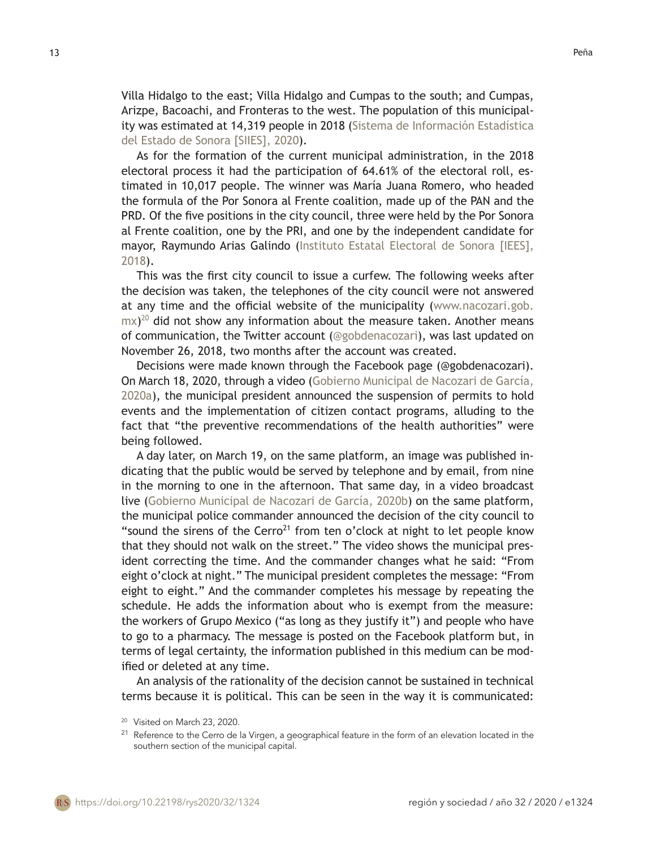Villa Hidalgo to the east; Villa Hidalgo and Cumpas to the south; and Cumpas, Arizpe, Bacoachi, and Fronteras to the west. The population of this municipality was estimated at 14,319 people in 2018 (Sistema de Información Estadística del Estado de Sonora [SIIES], 2020).

As for the formation of the current municipal administration, in the 2018 electoral process it had the participation of 64.61% of the electoral roll, estimated in 10,017 people. The winner was María Juana Romero, who headed the formula of the Por Sonora al Frente coalition, made up of the PAN and the PRD. Of the five positions in the city council, three were held by the Por Sonora al Frente coalition, one by the PRI, and one by the independent candidate for mayor, Raymundo Arias Galindo (Instituto Estatal Electoral de Sonora [IEES], 2018).

This was the first city council to issue a curfew. The following weeks after the decision was taken, the telephones of the city council were not answered at any time and the official website of the municipality (www.nacozari.gob.  $\text{mx})^{20}$  did not show any information about the measure taken. Another means of communication, the Twitter account (@gobdenacozari), was last updated on November 26, 2018, two months after the account was created.

Decisions were made known through the Facebook page (@gobdenacozari). On March 18, 2020, through a video (Gobierno Municipal de Nacozari de García, 2020a), the municipal president announced the suspension of permits to hold events and the implementation of citizen contact programs, alluding to the fact that "the preventive recommendations of the health authorities" were being followed.

A day later, on March 19, on the same platform, an image was published indicating that the public would be served by telephone and by email, from nine in the morning to one in the afternoon. That same day, in a video broadcast live (Gobierno Municipal de Nacozari de García, 2020b) on the same platform, the municipal police commander announced the decision of the city council to "sound the sirens of the Cerro<sup>21</sup> from ten o'clock at night to let people know that they should not walk on the street." The video shows the municipal president correcting the time. And the commander changes what he said: "From eight o'clock at night." The municipal president completes the message: "From eight to eight." And the commander completes his message by repeating the schedule. He adds the information about who is exempt from the measure: the workers of Grupo Mexico ("as long as they justify it") and people who have to go to a pharmacy. The message is posted on the Facebook platform but, in terms of legal certainty, the information published in this medium can be modified or deleted at any time.

An analysis of the rationality of the decision cannot be sustained in technical terms because it is political. This can be seen in the way it is communicated:

<sup>&</sup>lt;sup>20</sup> Visited on March 23, 2020.

 $21$  Reference to the Cerro de la Virgen, a geographical feature in the form of an elevation located in the southern section of the municipal capital.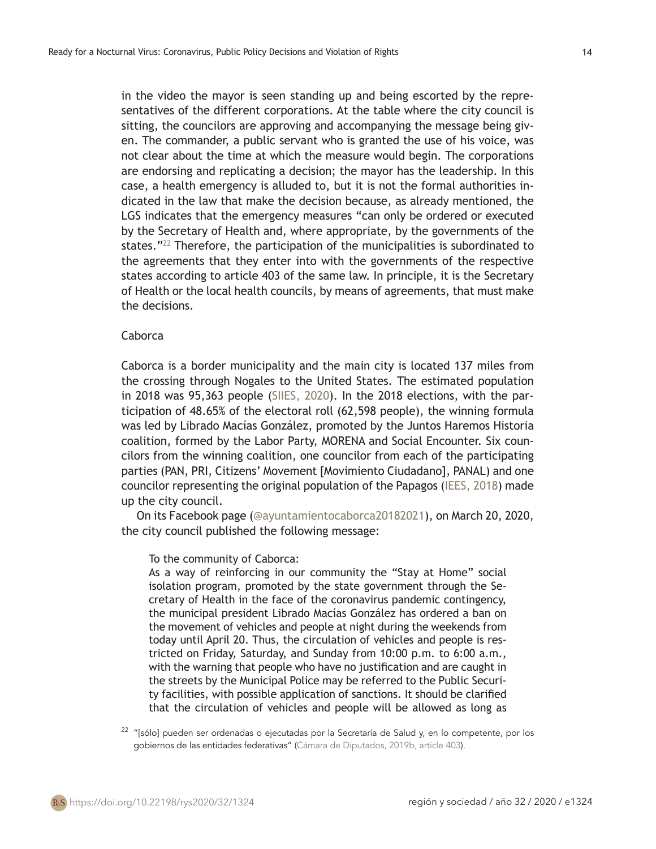in the video the mayor is seen standing up and being escorted by the representatives of the different corporations. At the table where the city council is sitting, the councilors are approving and accompanying the message being given. The commander, a public servant who is granted the use of his voice, was not clear about the time at which the measure would begin. The corporations are endorsing and replicating a decision; the mayor has the leadership. In this case, a health emergency is alluded to, but it is not the formal authorities indicated in the law that make the decision because, as already mentioned, the LGS indicates that the emergency measures "can only be ordered or executed by the Secretary of Health and, where appropriate, by the governments of the states. $12<sup>22</sup>$  Therefore, the participation of the municipalities is subordinated to the agreements that they enter into with the governments of the respective states according to article 403 of the same law. In principle, it is the Secretary of Health or the local health councils, by means of agreements, that must make the decisions.

### Caborca

Caborca is a border municipality and the main city is located 137 miles from the crossing through Nogales to the United States. The estimated population in 2018 was 95,363 people (SIIES, 2020). In the 2018 elections, with the participation of 48.65% of the electoral roll (62,598 people), the winning formula was led by Librado Macías González, promoted by the Juntos Haremos Historia coalition, formed by the Labor Party, MORENA and Social Encounter. Six councilors from the winning coalition, one councilor from each of the participating parties (PAN, PRI, Citizens' Movement [Movimiento Ciudadano], PANAL) and one councilor representing the original population of the Papagos (IEES, 2018) made up the city council.

On its Facebook page (@ayuntamientocaborca20182021), on March 20, 2020, the city council published the following message:

To the community of Caborca:

As a way of reinforcing in our community the "Stay at Home" social isolation program, promoted by the state government through the Secretary of Health in the face of the coronavirus pandemic contingency, the municipal president Librado Macías González has ordered a ban on the movement of vehicles and people at night during the weekends from today until April 20. Thus, the circulation of vehicles and people is restricted on Friday, Saturday, and Sunday from 10:00 p.m. to 6:00 a.m., with the warning that people who have no justification and are caught in the streets by the Municipal Police may be referred to the Public Security facilities, with possible application of sanctions. It should be clarified that the circulation of vehicles and people will be allowed as long as

 $22$  "[sólo] pueden ser ordenadas o ejecutadas por la Secretaría de Salud y, en lo competente, por los gobiernos de las entidades federativas" (Cámara de Diputados, 2019b, article 403).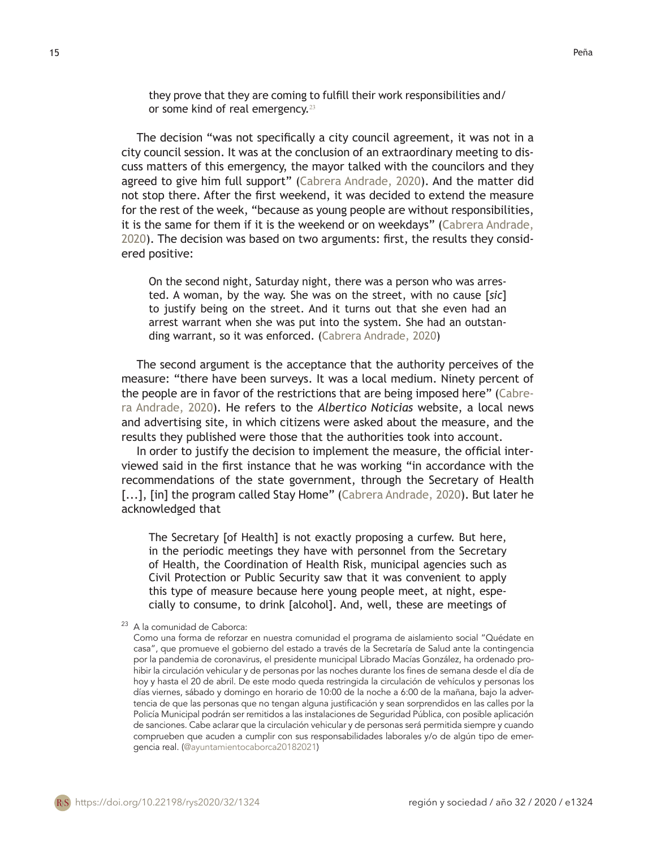they prove that they are coming to fulfill their work responsibilities and/ or some kind of real emergency.<sup>23</sup>

The decision "was not specifically a city council agreement, it was not in a city council session. It was at the conclusion of an extraordinary meeting to discuss matters of this emergency, the mayor talked with the councilors and they agreed to give him full support" (Cabrera Andrade, 2020). And the matter did not stop there. After the first weekend, it was decided to extend the measure for the rest of the week, "because as young people are without responsibilities, it is the same for them if it is the weekend or on weekdays" (Cabrera Andrade, 2020). The decision was based on two arguments: first, the results they considered positive:

On the second night, Saturday night, there was a person who was arrested. A woman, by the way. She was on the street, with no cause [*sic*] to justify being on the street. And it turns out that she even had an arrest warrant when she was put into the system. She had an outstanding warrant, so it was enforced. (Cabrera Andrade, 2020)

The second argument is the acceptance that the authority perceives of the measure: "there have been surveys. It was a local medium. Ninety percent of the people are in favor of the restrictions that are being imposed here" (Cabrera Andrade, 2020). He refers to the *Albertico Noticias* website, a local news and advertising site, in which citizens were asked about the measure, and the results they published were those that the authorities took into account.

In order to justify the decision to implement the measure, the official interviewed said in the first instance that he was working "in accordance with the recommendations of the state government, through the Secretary of Health [...], [in] the program called Stay Home" (Cabrera Andrade, 2020). But later he acknowledged that

The Secretary [of Health] is not exactly proposing a curfew. But here, in the periodic meetings they have with personnel from the Secretary of Health, the Coordination of Health Risk, municipal agencies such as Civil Protection or Public Security saw that it was convenient to apply this type of measure because here young people meet, at night, especially to consume, to drink [alcohol]. And, well, these are meetings of

<sup>23</sup> A la comunidad de Caborca:

Como una forma de reforzar en nuestra comunidad el programa de aislamiento social "Quédate en casa", que promueve el gobierno del estado a través de la Secretaría de Salud ante la contingencia por la pandemia de coronavirus, el presidente municipal Librado Macías González, ha ordenado prohibir la circulación vehicular y de personas por las noches durante los fines de semana desde el día de hoy y hasta el 20 de abril. De este modo queda restringida la circulación de vehículos y personas los días viernes, sábado y domingo en horario de 10:00 de la noche a 6:00 de la mañana, bajo la advertencia de que las personas que no tengan alguna justificación y sean sorprendidos en las calles por la Policía Municipal podrán ser remitidos a las instalaciones de Seguridad Pública, con posible aplicación de sanciones. Cabe aclarar que la circulación vehicular y de personas será permitida siempre y cuando comprueben que acuden a cumplir con sus responsabilidades laborales y/o de algún tipo de emergencia real. (@ayuntamientocaborca20182021)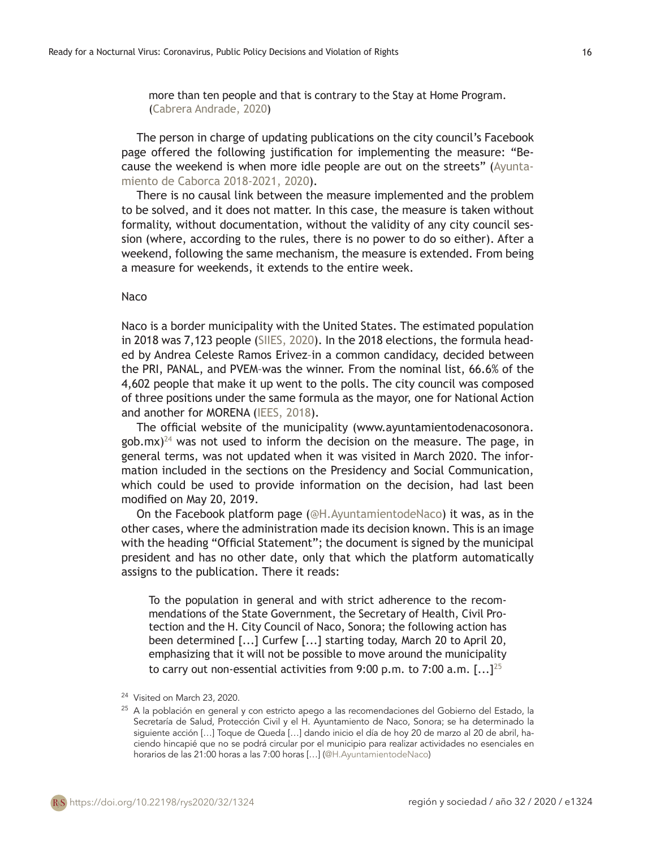more than ten people and that is contrary to the Stay at Home Program. (Cabrera Andrade, 2020)

The person in charge of updating publications on the city council's Facebook page offered the following justification for implementing the measure: "Because the weekend is when more idle people are out on the streets" (Ayuntamiento de Caborca 2018-2021, 2020).

There is no causal link between the measure implemented and the problem to be solved, and it does not matter. In this case, the measure is taken without formality, without documentation, without the validity of any city council session (where, according to the rules, there is no power to do so either). After a weekend, following the same mechanism, the measure is extended. From being a measure for weekends, it extends to the entire week.

#### Naco

Naco is a border municipality with the United States. The estimated population in 2018 was 7,123 people (SIIES, 2020). In the 2018 elections, the formula headed by Andrea Celeste Ramos Erivez–in a common candidacy, decided between the PRI, PANAL, and PVEM–was the winner. From the nominal list, 66.6% of the 4,602 people that make it up went to the polls. The city council was composed of three positions under the same formula as the mayor, one for National Action and another for MORENA (IEES, 2018).

The official website of the municipality (www.ayuntamientodenacosonora. gob.mx)<sup>24</sup> was not used to inform the decision on the measure. The page, in general terms, was not updated when it was visited in March 2020. The information included in the sections on the Presidency and Social Communication, which could be used to provide information on the decision, had last been modified on May 20, 2019.

On the Facebook platform page (@H.AyuntamientodeNaco) it was, as in the other cases, where the administration made its decision known. This is an image with the heading "Official Statement"; the document is signed by the municipal president and has no other date, only that which the platform automatically assigns to the publication. There it reads:

To the population in general and with strict adherence to the recommendations of the State Government, the Secretary of Health, Civil Protection and the H. City Council of Naco, Sonora; the following action has been determined [...] Curfew [...] starting today, March 20 to April 20, emphasizing that it will not be possible to move around the municipality to carry out non-essential activities from 9:00 p.m. to 7:00 a.m.  $[...]^{25}$ 

<sup>&</sup>lt;sup>24</sup> Visited on March 23, 2020.

<sup>&</sup>lt;sup>25</sup> A la población en general y con estricto apego a las recomendaciones del Gobierno del Estado, la Secretaría de Salud, Protección Civil y el H. Ayuntamiento de Naco, Sonora; se ha determinado la siguiente acción […] Toque de Queda […] dando inicio el día de hoy 20 de marzo al 20 de abril, haciendo hincapié que no se podrá circular por el municipio para realizar actividades no esenciales en horarios de las 21:00 horas a las 7:00 horas […] (@H.AyuntamientodeNaco)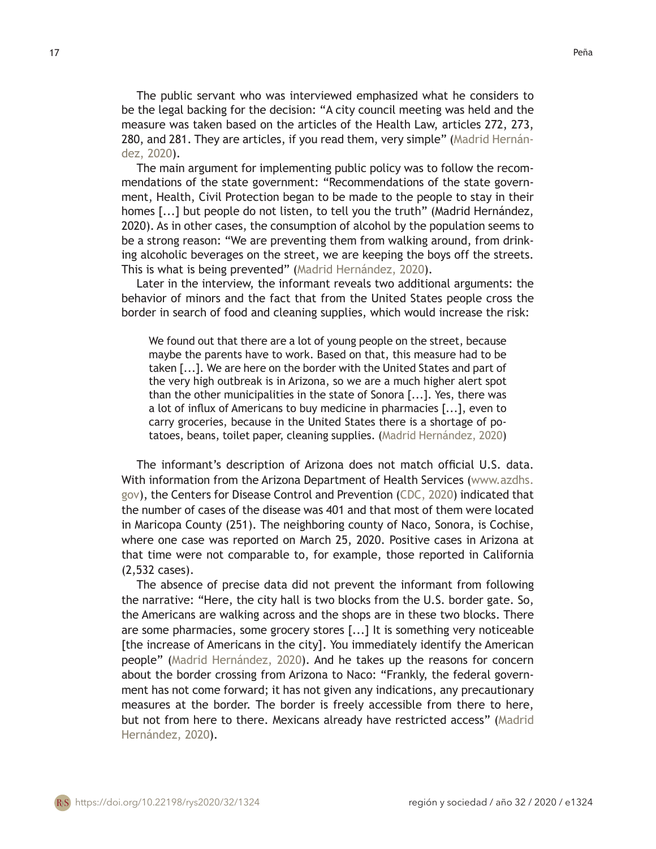The public servant who was interviewed emphasized what he considers to be the legal backing for the decision: "A city council meeting was held and the measure was taken based on the articles of the Health Law, articles 272, 273, 280, and 281. They are articles, if you read them, very simple" (Madrid Hernández, 2020).

The main argument for implementing public policy was to follow the recommendations of the state government: "Recommendations of the state government, Health, Civil Protection began to be made to the people to stay in their homes [...] but people do not listen, to tell you the truth" (Madrid Hernández, 2020). As in other cases, the consumption of alcohol by the population seems to be a strong reason: "We are preventing them from walking around, from drinking alcoholic beverages on the street, we are keeping the boys off the streets. This is what is being prevented" (Madrid Hernández, 2020).

Later in the interview, the informant reveals two additional arguments: the behavior of minors and the fact that from the United States people cross the border in search of food and cleaning supplies, which would increase the risk:

We found out that there are a lot of young people on the street, because maybe the parents have to work. Based on that, this measure had to be taken [...]. We are here on the border with the United States and part of the very high outbreak is in Arizona, so we are a much higher alert spot than the other municipalities in the state of Sonora [...]. Yes, there was a lot of influx of Americans to buy medicine in pharmacies [...], even to carry groceries, because in the United States there is a shortage of potatoes, beans, toilet paper, cleaning supplies. (Madrid Hernández, 2020)

The informant's description of Arizona does not match official U.S. data. With information from the Arizona Department of Health Services (www.azdhs. gov), the Centers for Disease Control and Prevention (CDC, 2020) indicated that the number of cases of the disease was 401 and that most of them were located in Maricopa County (251). The neighboring county of Naco, Sonora, is Cochise, where one case was reported on March 25, 2020. Positive cases in Arizona at that time were not comparable to, for example, those reported in California (2,532 cases).

The absence of precise data did not prevent the informant from following the narrative: "Here, the city hall is two blocks from the U.S. border gate. So, the Americans are walking across and the shops are in these two blocks. There are some pharmacies, some grocery stores [...] It is something very noticeable [the increase of Americans in the city]. You immediately identify the American people" (Madrid Hernández, 2020). And he takes up the reasons for concern about the border crossing from Arizona to Naco: "Frankly, the federal government has not come forward; it has not given any indications, any precautionary measures at the border. The border is freely accessible from there to here, but not from here to there. Mexicans already have restricted access" (Madrid Hernández, 2020).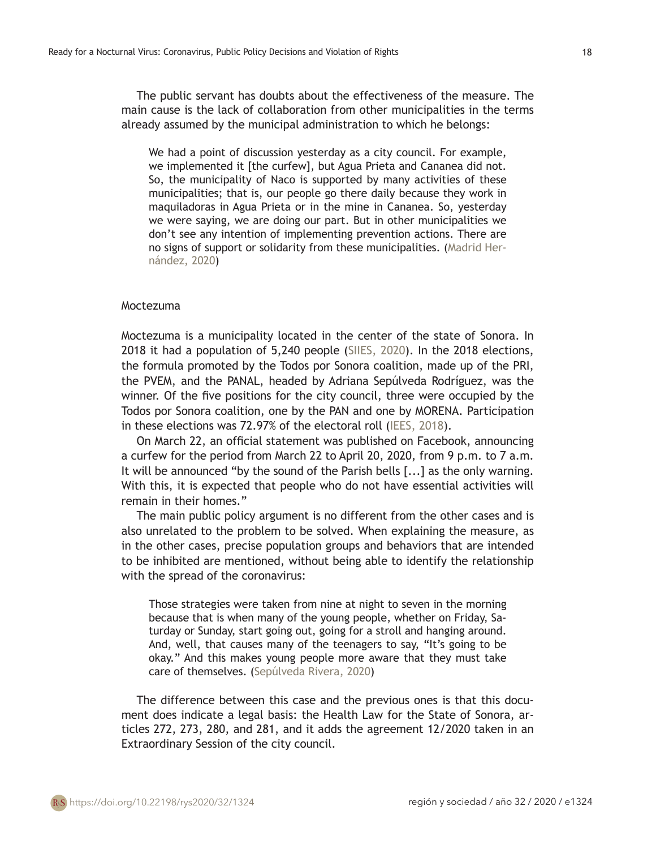The public servant has doubts about the effectiveness of the measure. The main cause is the lack of collaboration from other municipalities in the terms already assumed by the municipal administration to which he belongs:

We had a point of discussion yesterday as a city council. For example, we implemented it [the curfew], but Agua Prieta and Cananea did not. So, the municipality of Naco is supported by many activities of these municipalities; that is, our people go there daily because they work in maquiladoras in Agua Prieta or in the mine in Cananea. So, yesterday we were saying, we are doing our part. But in other municipalities we don't see any intention of implementing prevention actions. There are no signs of support or solidarity from these municipalities. (Madrid Hernández, 2020)

#### Moctezuma

Moctezuma is a municipality located in the center of the state of Sonora. In 2018 it had a population of 5,240 people (SIIES, 2020). In the 2018 elections, the formula promoted by the Todos por Sonora coalition, made up of the PRI, the PVEM, and the PANAL, headed by Adriana Sepúlveda Rodríguez, was the winner. Of the five positions for the city council, three were occupied by the Todos por Sonora coalition, one by the PAN and one by MORENA. Participation in these elections was 72.97% of the electoral roll (IEES, 2018).

On March 22, an official statement was published on Facebook, announcing a curfew for the period from March 22 to April 20, 2020, from 9 p.m. to 7 a.m. It will be announced "by the sound of the Parish bells [...] as the only warning. With this, it is expected that people who do not have essential activities will remain in their homes."

The main public policy argument is no different from the other cases and is also unrelated to the problem to be solved. When explaining the measure, as in the other cases, precise population groups and behaviors that are intended to be inhibited are mentioned, without being able to identify the relationship with the spread of the coronavirus:

Those strategies were taken from nine at night to seven in the morning because that is when many of the young people, whether on Friday, Saturday or Sunday, start going out, going for a stroll and hanging around. And, well, that causes many of the teenagers to say, "It's going to be okay." And this makes young people more aware that they must take care of themselves. (Sepúlveda Rivera, 2020)

The difference between this case and the previous ones is that this document does indicate a legal basis: the Health Law for the State of Sonora, articles 272, 273, 280, and 281, and it adds the agreement 12/2020 taken in an Extraordinary Session of the city council.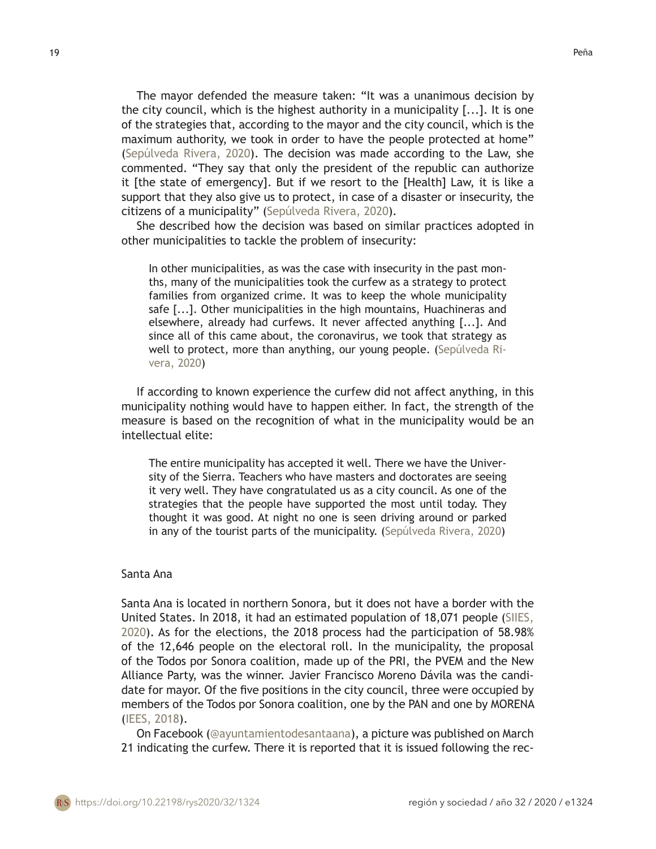The mayor defended the measure taken: "It was a unanimous decision by the city council, which is the highest authority in a municipality [...]. It is one of the strategies that, according to the mayor and the city council, which is the maximum authority, we took in order to have the people protected at home" (Sepúlveda Rivera, 2020). The decision was made according to the Law, she commented. "They say that only the president of the republic can authorize it [the state of emergency]. But if we resort to the [Health] Law, it is like a support that they also give us to protect, in case of a disaster or insecurity, the citizens of a municipality" (Sepúlveda Rivera, 2020).

She described how the decision was based on similar practices adopted in other municipalities to tackle the problem of insecurity:

In other municipalities, as was the case with insecurity in the past months, many of the municipalities took the curfew as a strategy to protect families from organized crime. It was to keep the whole municipality safe [...]. Other municipalities in the high mountains, Huachineras and elsewhere, already had curfews. It never affected anything [...]. And since all of this came about, the coronavirus, we took that strategy as well to protect, more than anything, our young people. (Sepúlveda Rivera, 2020)

If according to known experience the curfew did not affect anything, in this municipality nothing would have to happen either. In fact, the strength of the measure is based on the recognition of what in the municipality would be an intellectual elite:

The entire municipality has accepted it well. There we have the University of the Sierra. Teachers who have masters and doctorates are seeing it very well. They have congratulated us as a city council. As one of the strategies that the people have supported the most until today. They thought it was good. At night no one is seen driving around or parked in any of the tourist parts of the municipality. (Sepúlveda Rivera, 2020)

### Santa Ana

Santa Ana is located in northern Sonora, but it does not have a border with the United States. In 2018, it had an estimated population of 18,071 people (SIIES, 2020). As for the elections, the 2018 process had the participation of 58.98% of the 12,646 people on the electoral roll. In the municipality, the proposal of the Todos por Sonora coalition, made up of the PRI, the PVEM and the New Alliance Party, was the winner. Javier Francisco Moreno Dávila was the candidate for mayor. Of the five positions in the city council, three were occupied by members of the Todos por Sonora coalition, one by the PAN and one by MORENA (IEES, 2018).

On Facebook (@ayuntamientodesantaana), a picture was published on March 21 indicating the curfew. There it is reported that it is issued following the rec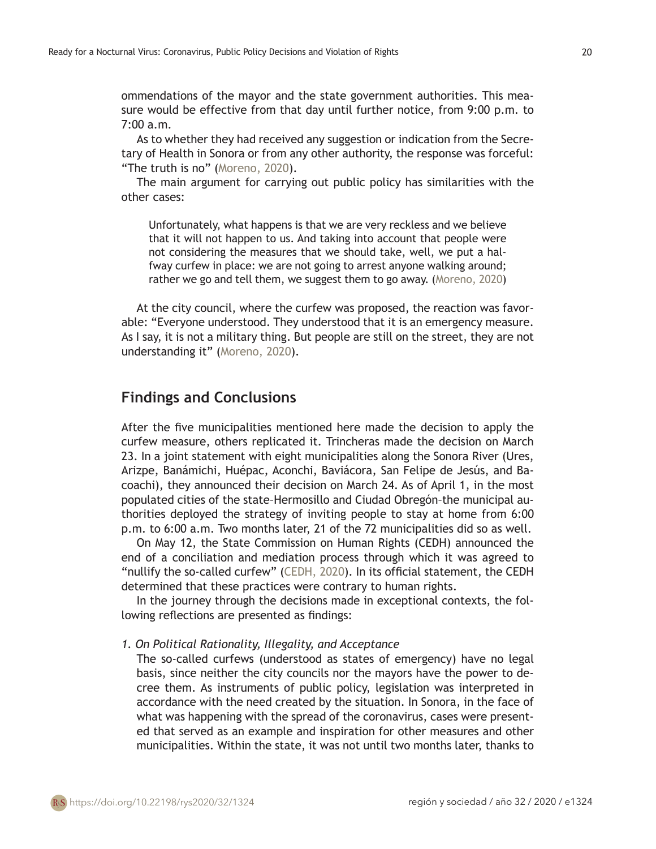ommendations of the mayor and the state government authorities. This measure would be effective from that day until further notice, from 9:00 p.m. to 7:00 a.m.

As to whether they had received any suggestion or indication from the Secretary of Health in Sonora or from any other authority, the response was forceful: "The truth is no" (Moreno, 2020).

The main argument for carrying out public policy has similarities with the other cases:

Unfortunately, what happens is that we are very reckless and we believe that it will not happen to us. And taking into account that people were not considering the measures that we should take, well, we put a halfway curfew in place: we are not going to arrest anyone walking around; rather we go and tell them, we suggest them to go away. (Moreno, 2020)

At the city council, where the curfew was proposed, the reaction was favorable: "Everyone understood. They understood that it is an emergency measure. As I say, it is not a military thing. But people are still on the street, they are not understanding it" (Moreno, 2020).

# **Findings and Conclusions**

After the five municipalities mentioned here made the decision to apply the curfew measure, others replicated it. Trincheras made the decision on March 23. In a joint statement with eight municipalities along the Sonora River (Ures, Arizpe, Banámichi, Huépac, Aconchi, Baviácora, San Felipe de Jesús, and Bacoachi), they announced their decision on March 24. As of April 1, in the most populated cities of the state–Hermosillo and Ciudad Obregón–the municipal authorities deployed the strategy of inviting people to stay at home from 6:00 p.m. to 6:00 a.m. Two months later, 21 of the 72 municipalities did so as well.

On May 12, the State Commission on Human Rights (CEDH) announced the end of a conciliation and mediation process through which it was agreed to "nullify the so-called curfew" (CEDH, 2020). In its official statement, the CEDH determined that these practices were contrary to human rights.

In the journey through the decisions made in exceptional contexts, the following reflections are presented as findings:

#### *1. On Political Rationality, Illegality, and Acceptance*

The so-called curfews (understood as states of emergency) have no legal basis, since neither the city councils nor the mayors have the power to decree them. As instruments of public policy, legislation was interpreted in accordance with the need created by the situation. In Sonora, in the face of what was happening with the spread of the coronavirus, cases were presented that served as an example and inspiration for other measures and other municipalities. Within the state, it was not until two months later, thanks to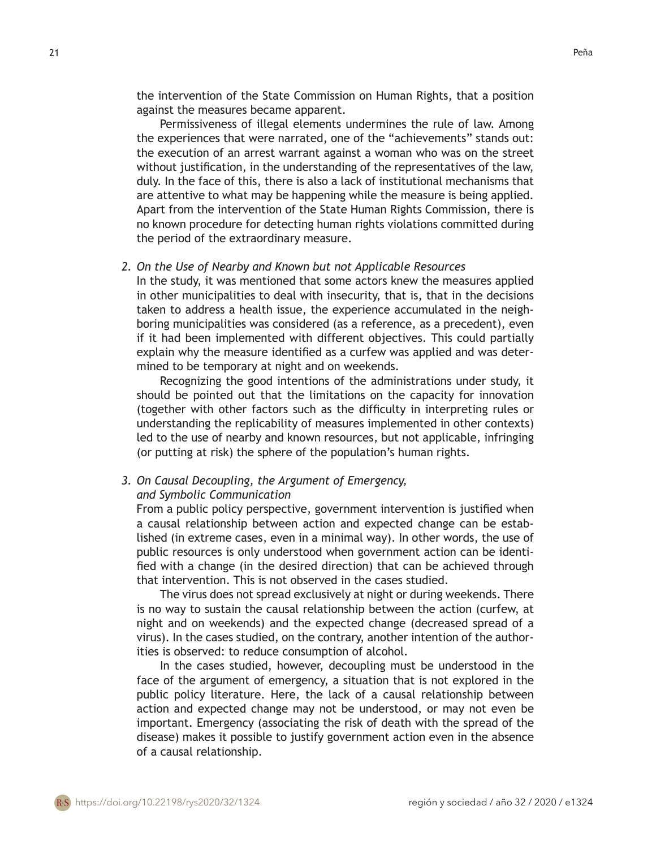the intervention of the State Commission on Human Rights, that a position against the measures became apparent.

 Permissiveness of illegal elements undermines the rule of law. Among the experiences that were narrated, one of the "achievements" stands out: the execution of an arrest warrant against a woman who was on the street without justification, in the understanding of the representatives of the law, duly. In the face of this, there is also a lack of institutional mechanisms that are attentive to what may be happening while the measure is being applied. Apart from the intervention of the State Human Rights Commission, there is no known procedure for detecting human rights violations committed during the period of the extraordinary measure.

### *2. On the Use of Nearby and Known but not Applicable Resources*

In the study, it was mentioned that some actors knew the measures applied in other municipalities to deal with insecurity, that is, that in the decisions taken to address a health issue, the experience accumulated in the neighboring municipalities was considered (as a reference, as a precedent), even if it had been implemented with different objectives. This could partially explain why the measure identified as a curfew was applied and was determined to be temporary at night and on weekends.

Recognizing the good intentions of the administrations under study, it should be pointed out that the limitations on the capacity for innovation (together with other factors such as the difficulty in interpreting rules or understanding the replicability of measures implemented in other contexts) led to the use of nearby and known resources, but not applicable, infringing (or putting at risk) the sphere of the population's human rights.

# *3. On Causal Decoupling, the Argument of Emergency,*

### *and Symbolic Communication*

From a public policy perspective, government intervention is justified when a causal relationship between action and expected change can be established (in extreme cases, even in a minimal way). In other words, the use of public resources is only understood when government action can be identified with a change (in the desired direction) that can be achieved through that intervention. This is not observed in the cases studied.

 The virus does not spread exclusively at night or during weekends. There is no way to sustain the causal relationship between the action (curfew, at night and on weekends) and the expected change (decreased spread of a virus). In the cases studied, on the contrary, another intention of the authorities is observed: to reduce consumption of alcohol.

 In the cases studied, however, decoupling must be understood in the face of the argument of emergency, a situation that is not explored in the public policy literature. Here, the lack of a causal relationship between action and expected change may not be understood, or may not even be important. Emergency (associating the risk of death with the spread of the disease) makes it possible to justify government action even in the absence of a causal relationship.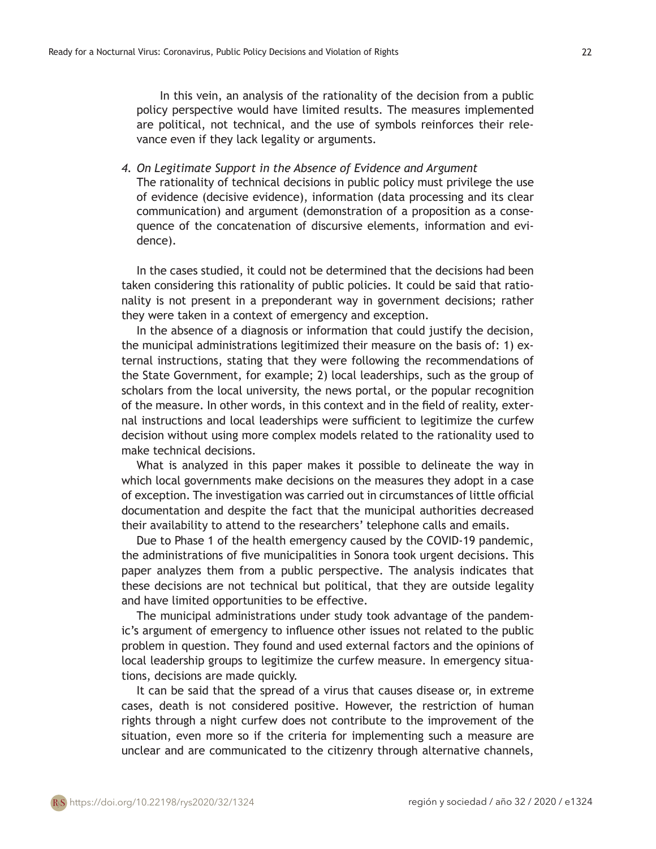In this vein, an analysis of the rationality of the decision from a public policy perspective would have limited results. The measures implemented are political, not technical, and the use of symbols reinforces their relevance even if they lack legality or arguments.

*4. On Legitimate Support in the Absence of Evidence and Argument* The rationality of technical decisions in public policy must privilege the use of evidence (decisive evidence), information (data processing and its clear communication) and argument (demonstration of a proposition as a consequence of the concatenation of discursive elements, information and evidence).

In the cases studied, it could not be determined that the decisions had been taken considering this rationality of public policies. It could be said that rationality is not present in a preponderant way in government decisions; rather they were taken in a context of emergency and exception.

In the absence of a diagnosis or information that could justify the decision, the municipal administrations legitimized their measure on the basis of: 1) external instructions, stating that they were following the recommendations of the State Government, for example; 2) local leaderships, such as the group of scholars from the local university, the news portal, or the popular recognition of the measure. In other words, in this context and in the field of reality, external instructions and local leaderships were sufficient to legitimize the curfew decision without using more complex models related to the rationality used to make technical decisions.

What is analyzed in this paper makes it possible to delineate the way in which local governments make decisions on the measures they adopt in a case of exception. The investigation was carried out in circumstances of little official documentation and despite the fact that the municipal authorities decreased their availability to attend to the researchers' telephone calls and emails.

Due to Phase 1 of the health emergency caused by the COVID-19 pandemic, the administrations of five municipalities in Sonora took urgent decisions. This paper analyzes them from a public perspective. The analysis indicates that these decisions are not technical but political, that they are outside legality and have limited opportunities to be effective.

The municipal administrations under study took advantage of the pandemic's argument of emergency to influence other issues not related to the public problem in question. They found and used external factors and the opinions of local leadership groups to legitimize the curfew measure. In emergency situations, decisions are made quickly.

It can be said that the spread of a virus that causes disease or, in extreme cases, death is not considered positive. However, the restriction of human rights through a night curfew does not contribute to the improvement of the situation, even more so if the criteria for implementing such a measure are unclear and are communicated to the citizenry through alternative channels,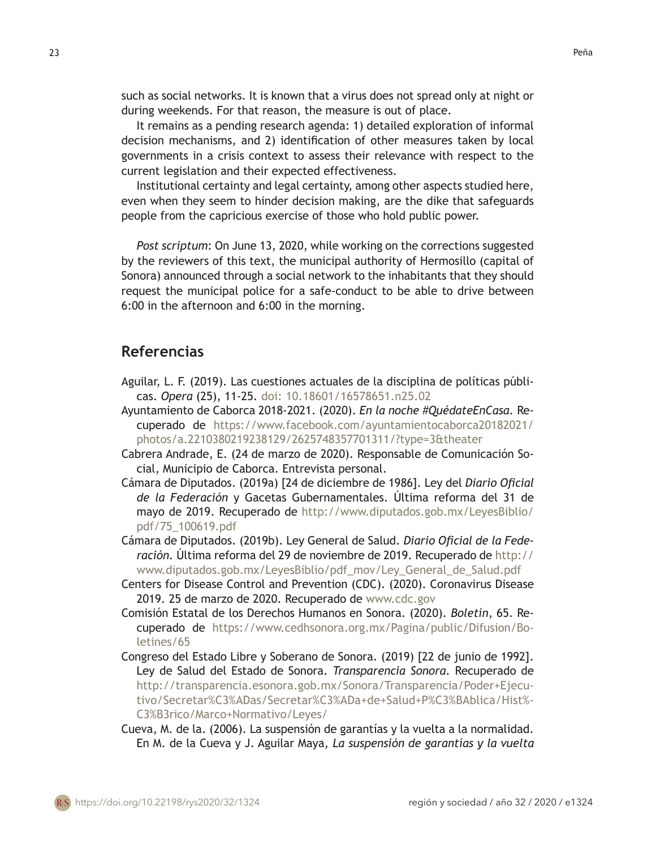during weekends. For that reason, the measure is out of place. It remains as a pending research agenda: 1) detailed exploration of informal decision mechanisms, and 2) identification of other measures taken by local governments in a crisis context to assess their relevance with respect to the current legislation and their expected effectiveness.

Institutional certainty and legal certainty, among other aspects studied here, even when they seem to hinder decision making, are the dike that safeguards people from the capricious exercise of those who hold public power.

*Post scriptum*: On June 13, 2020, while working on the corrections suggested by the reviewers of this text, the municipal authority of Hermosillo (capital of Sonora) announced through a social network to the inhabitants that they should request the municipal police for a safe-conduct to be able to drive between 6:00 in the afternoon and 6:00 in the morning.

# **Referencias**

- Aguilar, L. F. (2019). Las cuestiones actuales de la disciplina de políticas públicas. *Opera* (25), 11-25. doi: 10.18601/16578651.n25.02
- [Ayuntamiento de Caborca 2018-2021.](https://www.facebook.com/ayuntamientocaborca20182021/?__tn__=%2Cd-UC*F) (2020). *En la noche #QuédateEnCasa.* Recuperado de [https://www.facebook.com/ayuntamientocaborca20182021/](https://www.facebook.com/ayuntamientocaborca20182021/photos/a.2210380219238129/2625748357701311/?type=3&theater) [photos/a.2210380219238129/2625748357701311/?type=3&theater](https://www.facebook.com/ayuntamientocaborca20182021/photos/a.2210380219238129/2625748357701311/?type=3&theater)
- Cabrera Andrade, E. (24 de marzo de 2020). Responsable de Comunicación Social, Municipio de Caborca. Entrevista personal.
- Cámara de Diputados. (2019a) [24 de diciembre de 1986]. Ley del *Diario Oficial de la Federación* y Gacetas Gubernamentales. Última reforma del 31 de mayo de 2019. Recuperado de [http://www.diputados.gob.mx/LeyesBiblio/](http://www.diputados.gob.mx/LeyesBiblio/pdf/75_100619.pdf) [pdf/75\\_100619.pdf](http://www.diputados.gob.mx/LeyesBiblio/pdf/75_100619.pdf)
- Cámara de Diputados. (2019b). Ley General de Salud. *Diario Oficial de la Federación.* Última reforma del 29 de noviembre de 2019. Recuperado de [http://](http://www.diputados.gob.mx/LeyesBiblio/pdf_mov/Ley_General_de_Salud.pdf%20) [www.diputados.gob.mx/LeyesBiblio/pdf\\_mov/Ley\\_General\\_de\\_Salud.pdf](http://www.diputados.gob.mx/LeyesBiblio/pdf_mov/Ley_General_de_Salud.pdf%20)
- Centers for Disease Control and Prevention (CDC). (2020). Coronavirus Disease 2019. 25 de marzo de 2020. Recuperado de [www.cdc.gov](http://www.cdc.gov)
- Comisión Estatal de los Derechos Humanos en Sonora. (2020). *Boletín*, 65. Recuperado de [https://www.cedhsonora.org.mx/Pagina/public/Difusion/Bo](https://www.cedhsonora.org.mx/Pagina/public/Difusion/Boletines/65)[letines/65](https://www.cedhsonora.org.mx/Pagina/public/Difusion/Boletines/65)
- Congreso del Estado Libre y Soberano de Sonora. (2019) [22 de junio de 1992]. Ley de Salud del Estado de Sonora. *Transparencia Sonora*. Recuperado de [http://transparencia.esonora.gob.mx/Sonora/Transparencia/Poder+Ejecu](http://transparencia.esonora.gob.mx/Sonora/Transparencia/Poder+Ejecutivo/Secretar%C3%ADas/Secretar%C3%ADa+de+Salud+P%C3%BAblica/Hist%C3%B3rico/Marco+Normativo/Leyes/)[tivo/Secretar%C3%ADas/Secretar%C3%ADa+de+Salud+P%C3%BAblica/Hist%](http://transparencia.esonora.gob.mx/Sonora/Transparencia/Poder+Ejecutivo/Secretar%C3%ADas/Secretar%C3%ADa+de+Salud+P%C3%BAblica/Hist%C3%B3rico/Marco+Normativo/Leyes/)- [C3%B3rico/Marco+Normativo/Leyes/](http://transparencia.esonora.gob.mx/Sonora/Transparencia/Poder+Ejecutivo/Secretar%C3%ADas/Secretar%C3%ADa+de+Salud+P%C3%BAblica/Hist%C3%B3rico/Marco+Normativo/Leyes/)
- Cueva, M. de la. (2006). La suspensión de garantías y la vuelta a la normalidad. En M. de la Cueva y J. Aguilar Maya, *La suspensión de garantías y la vuelta*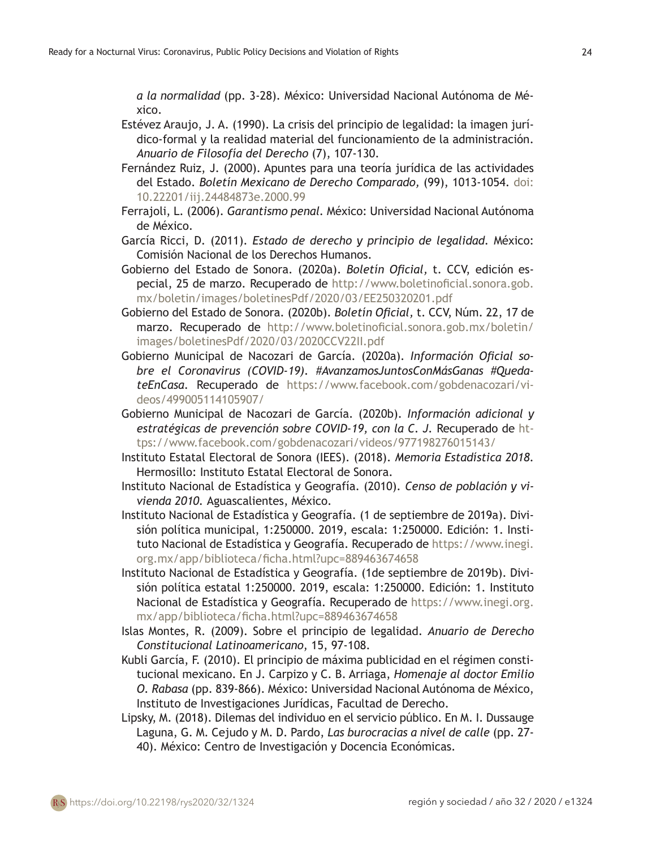*a la normalidad* (pp. 3-28). México: Universidad Nacional Autónoma de México.

- Estévez Araujo, J. A. (1990). La crisis del principio de legalidad: la imagen jurídico-formal y la realidad material del funcionamiento de la administración. *Anuario de Filosofía del Derecho* (7), 107-130.
- Fernández Ruiz, J. (2000). Apuntes para una teoría jurídica de las actividades del Estado. *Boletín Mexicano de Derecho Comparado,* (99), 1013-1054. doi: [10.22201/iij.24484873e.2000.99](http://dx.doi.org/10.22201/iij.24484873e.2000.99)
- Ferrajoli, L. (2006). *Garantismo penal.* México: Universidad Nacional Autónoma de México.
- García Ricci, D. (2011). *Estado de derecho y principio de legalidad.* México: Comisión Nacional de los Derechos Humanos.
- Gobierno del Estado de Sonora. (2020a). *Boletín Oficial,* t. CCV, edición especial, 25 de marzo. Recuperado de [http://www.boletinoficial.sonora.gob.](http://www.boletinoficial.sonora.gob.mx/boletin/images/boletinesPdf/2020/03/EE250320201.pdf) [mx/boletin/images/boletinesPdf/2020/03/EE250320201.pdf](http://www.boletinoficial.sonora.gob.mx/boletin/images/boletinesPdf/2020/03/EE250320201.pdf)
- Gobierno del Estado de Sonora. (2020b). *Boletín Oficial,* t. CCV, Núm. 22, 17 de marzo. Recuperado de [http://www.boletinoficial.sonora.gob.mx/boletin/](http://www.boletinoficial.sonora.gob.mx/boletin/images/boletinesPdf/2020/03/2020CCV22II.pdf) [images/boletinesPdf/2020/03/2020CCV22II.pdf](http://www.boletinoficial.sonora.gob.mx/boletin/images/boletinesPdf/2020/03/2020CCV22II.pdf)
- Gobierno Municipal de Nacozari de García. (2020a). *Información Oficial sobre el Coronavirus (COVID-19). #AvanzamosJuntosConMásGanas #QuedateEnCasa.* Recuperado de [https://www.facebook.com/gobdenacozari/vi](https://www.facebook.com/gobdenacozari/videos/499005114105907/)[deos/499005114105907/](https://www.facebook.com/gobdenacozari/videos/499005114105907/)
- Gobierno Municipal de Nacozari de García. (2020b). *Información adicional y*  estratégicas de prevención sobre COVID-19, con la C. J. Recuperado de [ht](https://www.facebook.com/gobdenacozari/videos/977198276015143/)[tps://www.facebook.com/gobdenacozari/videos/977198276015143/](https://www.facebook.com/gobdenacozari/videos/977198276015143/)
- Instituto Estatal Electoral de Sonora (IEES). (2018). *Memoria Estadística 2018.* Hermosillo: Instituto Estatal Electoral de Sonora.
- Instituto Nacional de Estadística y Geografía. (2010). *Censo de población y vivienda 2010.* Aguascalientes, México.
- Instituto Nacional de Estadística y Geografía. (1 de septiembre de 2019a). División política municipal, 1:250000. 2019, escala: 1:250000. Edición: 1. Instituto Nacional de Estadística y Geografía. Recuperado de [https://www.inegi.](https://www.inegi.org.mx/app/biblioteca/ficha.html?upc=889463674658) [org.mx/app/biblioteca/ficha.html?upc=889463674658](https://www.inegi.org.mx/app/biblioteca/ficha.html?upc=889463674658)
- Instituto Nacional de Estadística y Geografía. (1de septiembre de 2019b). División política estatal 1:250000. 2019, escala: 1:250000. Edición: 1. Instituto Nacional de Estadística y Geografía. Recuperado de [https://www.inegi.org.](https://www.inegi.org.mx/app/biblioteca/ficha.html?upc=889463674658) [mx/app/biblioteca/ficha.html?upc=889463674658](https://www.inegi.org.mx/app/biblioteca/ficha.html?upc=889463674658)
- Islas Montes, R. (2009). Sobre el principio de legalidad. *Anuario de Derecho Constitucional Latinoamericano*, 15, 97-108.
- Kubli García, F. (2010). El principio de máxima publicidad en el régimen constitucional mexicano. En J. Carpizo y C. B. Arriaga, *Homenaje al doctor Emilio O. Rabasa* (pp. 839-866). México: Universidad Nacional Autónoma de México, Instituto de Investigaciones Jurídicas, Facultad de Derecho.
- Lipsky, M. (2018). Dilemas del individuo en el servicio público. En M. I. Dussauge Laguna, G. M. Cejudo y M. D. Pardo, *Las burocracias a nivel de calle* (pp. 27- 40). México: Centro de Investigación y Docencia Económicas.